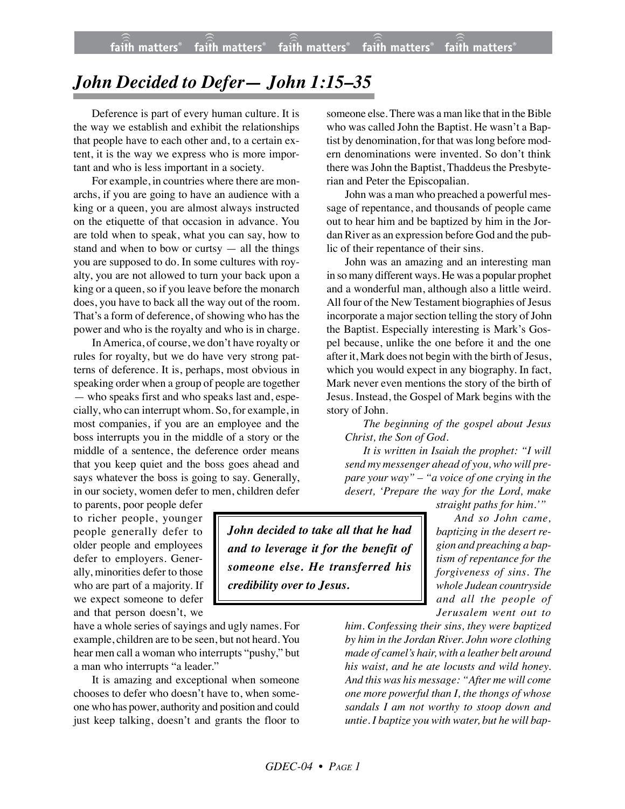## *John Decided to Defer— John 1:15–35*

Deference is part of every human culture. It is the way we establish and exhibit the relationships that people have to each other and, to a certain extent, it is the way we express who is more important and who is less important in a society.

For example, in countries where there are monarchs, if you are going to have an audience with a king or a queen, you are almost always instructed on the etiquette of that occasion in advance. You are told when to speak, what you can say, how to stand and when to bow or curtsy  $-$  all the things you are supposed to do. In some cultures with royalty, you are not allowed to turn your back upon a king or a queen, so if you leave before the monarch does, you have to back all the way out of the room. That's a form of deference, of showing who has the power and who is the royalty and who is in charge.

In America, of course, we don't have royalty or rules for royalty, but we do have very strong patterns of deference. It is, perhaps, most obvious in speaking order when a group of people are together — who speaks first and who speaks last and, especially, who can interrupt whom. So, for example, in most companies, if you are an employee and the boss interrupts you in the middle of a story or the middle of a sentence, the deference order means that you keep quiet and the boss goes ahead and says whatever the boss is going to say. Generally, in our society, women defer to men, children defer

to parents, poor people defer to richer people, younger people generally defer to older people and employees defer to employers. Generally, minorities defer to those who are part of a majority. If we expect someone to defer and that person doesn't, we

have a whole series of sayings and ugly names. For example, children are to be seen, but not heard. You hear men call a woman who interrupts "pushy," but a man who interrupts "a leader."

It is amazing and exceptional when someone chooses to defer who doesn't have to, when someone who has power, authority and position and could just keep talking, doesn't and grants the floor to

someone else. There was a man like that in the Bible who was called John the Baptist. He wasn't a Baptist by denomination, for that was long before modern denominations were invented. So don't think there was John the Baptist, Thaddeus the Presbyterian and Peter the Episcopalian.

John was a man who preached a powerful message of repentance, and thousands of people came out to hear him and be baptized by him in the Jordan River as an expression before God and the public of their repentance of their sins.

John was an amazing and an interesting man in so many different ways. He was a popular prophet and a wonderful man, although also a little weird. All four of the New Testament biographies of Jesus incorporate a major section telling the story of John the Baptist. Especially interesting is Mark's Gospel because, unlike the one before it and the one after it, Mark does not begin with the birth of Jesus, which you would expect in any biography. In fact, Mark never even mentions the story of the birth of Jesus. Instead, the Gospel of Mark begins with the story of John.

*The beginning of the gospel about Jesus Christ, the Son of God.*

*It is written in Isaiah the prophet: "I will send my messenger ahead of you, who will prepare your way" – "a voice of one crying in the desert, 'Prepare the way for the Lord, make*

*John decided to take all that he had and to leverage it for the benefit of someone else. He transferred his credibility over to Jesus.*

*straight paths for him.'" And so John came,*

*baptizing in the desert region and preaching a baptism of repentance for the forgiveness of sins. The whole Judean countryside and all the people of Jerusalem went out to*

*him. Confessing their sins, they were baptized by him in the Jordan River. John wore clothing made of camel's hair, with a leather belt around his waist, and he ate locusts and wild honey. And this was his message: "After me will come one more powerful than I, the thongs of whose sandals I am not worthy to stoop down and untie. I baptize you with water, but he will bap-*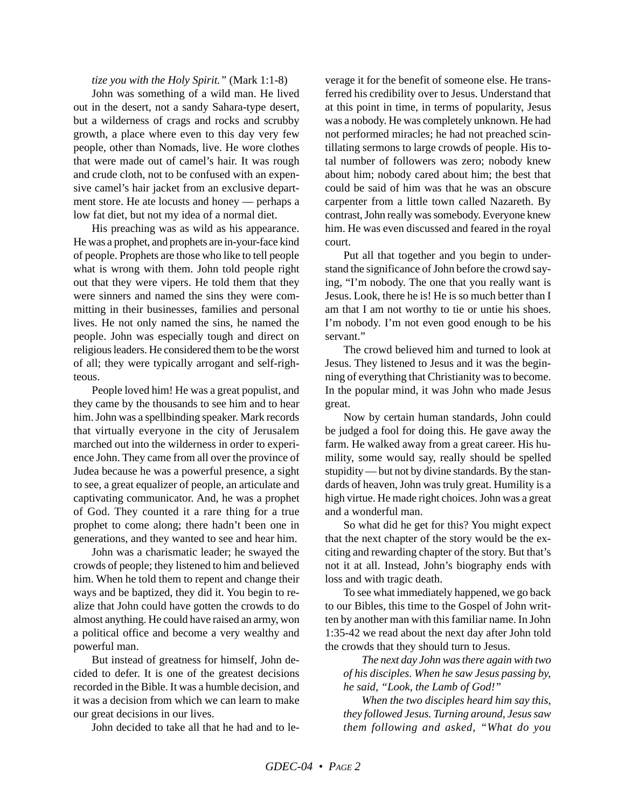## *tize you with the Holy Spirit."* (Mark 1:1-8)

John was something of a wild man. He lived out in the desert, not a sandy Sahara-type desert, but a wilderness of crags and rocks and scrubby growth, a place where even to this day very few people, other than Nomads, live. He wore clothes that were made out of camel's hair. It was rough and crude cloth, not to be confused with an expensive camel's hair jacket from an exclusive department store. He ate locusts and honey — perhaps a low fat diet, but not my idea of a normal diet.

His preaching was as wild as his appearance. He was a prophet, and prophets are in-your-face kind of people. Prophets are those who like to tell people what is wrong with them. John told people right out that they were vipers. He told them that they were sinners and named the sins they were committing in their businesses, families and personal lives. He not only named the sins, he named the people. John was especially tough and direct on religious leaders. He considered them to be the worst of all; they were typically arrogant and self-righteous.

People loved him! He was a great populist, and they came by the thousands to see him and to hear him. John was a spellbinding speaker. Mark records that virtually everyone in the city of Jerusalem marched out into the wilderness in order to experience John. They came from all over the province of Judea because he was a powerful presence, a sight to see, a great equalizer of people, an articulate and captivating communicator. And, he was a prophet of God. They counted it a rare thing for a true prophet to come along; there hadn't been one in generations, and they wanted to see and hear him.

John was a charismatic leader; he swayed the crowds of people; they listened to him and believed him. When he told them to repent and change their ways and be baptized, they did it. You begin to realize that John could have gotten the crowds to do almost anything. He could have raised an army, won a political office and become a very wealthy and powerful man.

But instead of greatness for himself, John decided to defer. It is one of the greatest decisions recorded in the Bible. It was a humble decision, and it was a decision from which we can learn to make our great decisions in our lives.

John decided to take all that he had and to le-

verage it for the benefit of someone else. He transferred his credibility over to Jesus. Understand that at this point in time, in terms of popularity, Jesus was a nobody. He was completely unknown. He had not performed miracles; he had not preached scintillating sermons to large crowds of people. His total number of followers was zero; nobody knew about him; nobody cared about him; the best that could be said of him was that he was an obscure carpenter from a little town called Nazareth. By contrast, John really was somebody. Everyone knew him. He was even discussed and feared in the royal court.

Put all that together and you begin to understand the significance of John before the crowd saying, "I'm nobody. The one that you really want is Jesus. Look, there he is! He is so much better than I am that I am not worthy to tie or untie his shoes. I'm nobody. I'm not even good enough to be his servant."

The crowd believed him and turned to look at Jesus. They listened to Jesus and it was the beginning of everything that Christianity was to become. In the popular mind, it was John who made Jesus great.

Now by certain human standards, John could be judged a fool for doing this. He gave away the farm. He walked away from a great career. His humility, some would say, really should be spelled stupidity — but not by divine standards. By the standards of heaven, John was truly great. Humility is a high virtue. He made right choices. John was a great and a wonderful man.

So what did he get for this? You might expect that the next chapter of the story would be the exciting and rewarding chapter of the story. But that's not it at all. Instead, John's biography ends with loss and with tragic death.

To see what immediately happened, we go back to our Bibles, this time to the Gospel of John written by another man with this familiar name. In John 1:35-42 we read about the next day after John told the crowds that they should turn to Jesus.

*The next day John was there again with two of his disciples. When he saw Jesus passing by, he said, "Look, the Lamb of God!"*

*When the two disciples heard him say this, they followed Jesus. Turning around, Jesus saw them following and asked, "What do you*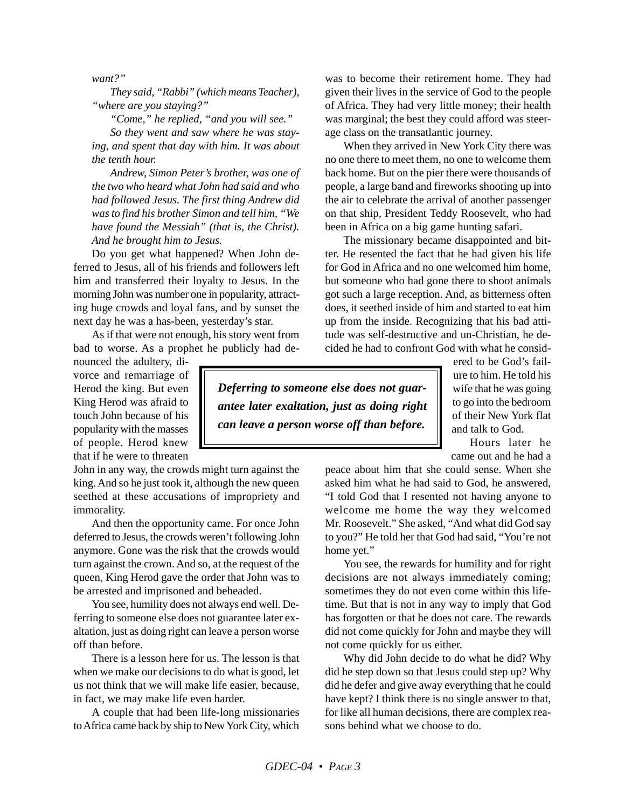*want?"*

*They said, "Rabbi" (which means Teacher), "where are you staying?"*

*"Come," he replied, "and you will see."*

*So they went and saw where he was staying, and spent that day with him. It was about the tenth hour.*

*Andrew, Simon Peter's brother, was one of the two who heard what John had said and who had followed Jesus. The first thing Andrew did was to find his brother Simon and tell him, "We have found the Messiah" (that is, the Christ). And he brought him to Jesus.*

Do you get what happened? When John deferred to Jesus, all of his friends and followers left him and transferred their loyalty to Jesus. In the morning John was number one in popularity, attracting huge crowds and loyal fans, and by sunset the next day he was a has-been, yesterday's star.

As if that were not enough, his story went from bad to worse. As a prophet he publicly had de-

nounced the adultery, divorce and remarriage of Herod the king. But even King Herod was afraid to touch John because of his popularity with the masses of people. Herod knew that if he were to threaten

John in any way, the crowds might turn against the king. And so he just took it, although the new queen seethed at these accusations of impropriety and immorality.

And then the opportunity came. For once John deferred to Jesus, the crowds weren't following John anymore. Gone was the risk that the crowds would turn against the crown. And so, at the request of the queen, King Herod gave the order that John was to be arrested and imprisoned and beheaded.

You see, humility does not always end well. Deferring to someone else does not guarantee later exaltation, just as doing right can leave a person worse off than before.

There is a lesson here for us. The lesson is that when we make our decisions to do what is good, let us not think that we will make life easier, because, in fact, we may make life even harder.

A couple that had been life-long missionaries to Africa came back by ship to New York City, which was to become their retirement home. They had given their lives in the service of God to the people of Africa. They had very little money; their health was marginal; the best they could afford was steerage class on the transatlantic journey.

When they arrived in New York City there was no one there to meet them, no one to welcome them back home. But on the pier there were thousands of people, a large band and fireworks shooting up into the air to celebrate the arrival of another passenger on that ship, President Teddy Roosevelt, who had been in Africa on a big game hunting safari.

The missionary became disappointed and bitter. He resented the fact that he had given his life for God in Africa and no one welcomed him home, but someone who had gone there to shoot animals got such a large reception. And, as bitterness often does, it seethed inside of him and started to eat him up from the inside. Recognizing that his bad attitude was self-destructive and un-Christian, he decided he had to confront God with what he consid-

*Deferring to someone else does not guarantee later exaltation, just as doing right can leave a person worse off than before.*

ered to be God's failure to him. He told his wife that he was going to go into the bedroom of their New York flat and talk to God.

Hours later he came out and he had a

peace about him that she could sense. When she asked him what he had said to God, he answered, "I told God that I resented not having anyone to welcome me home the way they welcomed Mr. Roosevelt." She asked, "And what did God say to you?" He told her that God had said, "You're not home yet."

You see, the rewards for humility and for right decisions are not always immediately coming; sometimes they do not even come within this lifetime. But that is not in any way to imply that God has forgotten or that he does not care. The rewards did not come quickly for John and maybe they will not come quickly for us either.

Why did John decide to do what he did? Why did he step down so that Jesus could step up? Why did he defer and give away everything that he could have kept? I think there is no single answer to that, for like all human decisions, there are complex reasons behind what we choose to do.